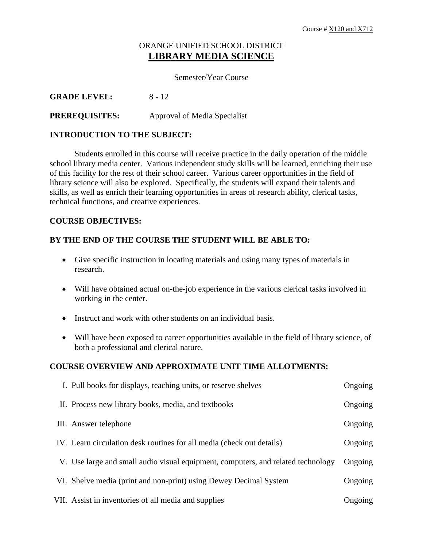# ORANGE UNIFIED SCHOOL DISTRICT **LIBRARY MEDIA SCIENCE**

### Semester/Year Course

**GRADE LEVEL:** 8 - 12

## **PREREQUISITES:** Approval of Media Specialist

### **INTRODUCTION TO THE SUBJECT:**

 Students enrolled in this course will receive practice in the daily operation of the middle school library media center. Various independent study skills will be learned, enriching their use of this facility for the rest of their school career. Various career opportunities in the field of library science will also be explored. Specifically, the students will expand their talents and skills, as well as enrich their learning opportunities in areas of research ability, clerical tasks, technical functions, and creative experiences.

#### **COURSE OBJECTIVES:**

#### **BY THE END OF THE COURSE THE STUDENT WILL BE ABLE TO:**

- Give specific instruction in locating materials and using many types of materials in research.
- Will have obtained actual on-the-job experience in the various clerical tasks involved in working in the center.
- Instruct and work with other students on an individual basis.
- Will have been exposed to career opportunities available in the field of library science, of both a professional and clerical nature.

#### **COURSE OVERVIEW AND APPROXIMATE UNIT TIME ALLOTMENTS:**

| I. Pull books for displays, teaching units, or reserve shelves                   | Ongoing |
|----------------------------------------------------------------------------------|---------|
| II. Process new library books, media, and textbooks                              | Ongoing |
| III. Answer telephone                                                            | Ongoing |
| IV. Learn circulation desk routines for all media (check out details)            | Ongoing |
| V. Use large and small audio visual equipment, computers, and related technology | Ongoing |
| VI. Shelve media (print and non-print) using Dewey Decimal System                | Ongoing |
| VII. Assist in inventories of all media and supplies                             | Ongoing |